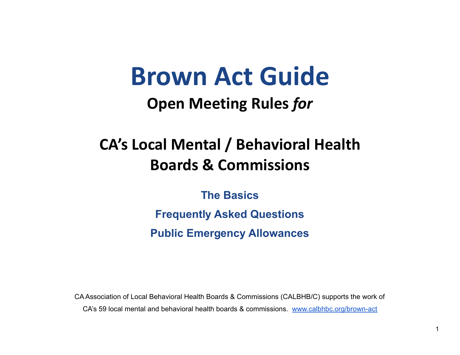# **Brown Act Guide**

### **Open Meeting Rules** *for*

## **CA's Local Mental / Behavioral Health Boards & Commissions**

**The Basics**

**Frequently Asked Questions Public Emergency Allowances**

CA Association of Local Behavioral Health Boards & Commissions (CALBHB/C) supports the work of CA's 59 local mental and behavioral health boards & commissions. [www.calbhbc.org/brown-act](http://www.calbhbc.org/brown-act)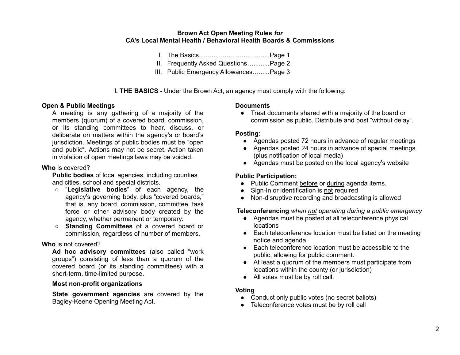#### **Brown Act Open Meeting Rules** *for* **CA's Local Mental Health / Behavioral Health Boards & Commissions**

- I. The Basics……………………….…...Page 1
- II. Frequently Asked Questions….........Page 2
- III. Public Emergency Allowances…......Page 3

**I. THE BASICS -** Under the Brown Act, an agency must comply with the following:

#### **Open & Public Meetings**

A meeting is any gathering of a majority of the members (quorum) of a covered board, commission, or its standing committees to hear, discuss, or deliberate on matters within the agency's or board's jurisdiction. Meetings of public bodies must be "open and public". Actions may not be secret. Action taken in violation of open meetings laws may be voided.

#### **Who** is covered?

**Public bodies** of local agencies, including counties and cities, school and special districts.

- "**Legislative bodies**" of each agency, the agency's governing body, plus "covered boards," that is, any board, commission, committee, task force or other advisory body created by the agency, whether permanent or temporary.
- **Standing Committees** of a covered board or commission, regardless of number of members.

#### **Who** is not covered?

**Ad hoc advisory committees** (also called "work groups") consisting of less than a quorum of the covered board (or its standing committees) with a short-term, time-limited purpose.

#### **Most non-profit organizations**

**State government agencies** are covered by the Bagley-Keene Opening Meeting Act.

#### **Documents**

● Treat documents shared with a majority of the board or commission as public. Distribute and post "without delay".

#### **Posting:**

- Agendas posted 72 hours in advance of regular meetings
- Agendas posted 24 hours in advance of special meetings (plus notification of local media)
- Agendas must be posted on the local agency's website

#### **Public Participation:**

- Public Comment before or during agenda items.
- Sign-In or identification is not required
- Non-disruptive recording and broadcasting is allowed

**Teleconferencing** *when not operating during a public emergency*

- Agendas must be posted at all teleconference physical locations
- Each teleconference location must be listed on the meeting notice and agenda.
- **●** Each teleconference location must be accessible to the public, allowing for public comment.
- At least a quorum of the members must participate from locations within the county (or jurisdiction)
- All votes must be by roll call.

#### **Voting**

- Conduct only public votes (no secret ballots)
- Teleconference votes must be by roll call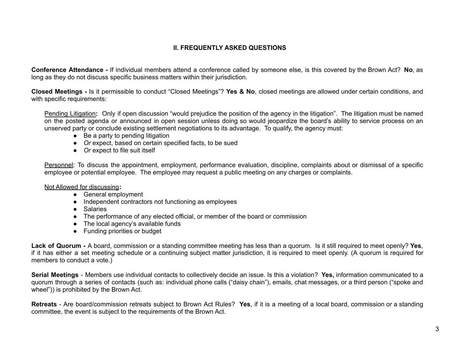#### **II. FREQUENTLY ASKED QUESTIONS**

**Conference Attendance -** If individual members attend a conference called by someone else, is this covered by the Brown Act? **No**, as long as they do not discuss specific business matters within their jurisdiction.

**Closed Meetings -** Is it permissible to conduct "Closed Meetings"? **Yes & No**, closed meetings are allowed under certain conditions, and with specific requirements:

Pending Litigation**:** Only if open discussion "would prejudice the position of the agency in the litigation". The litigation must be named on the posted agenda or announced in open session unless doing so would jeopardize the board's ability to service process on an unserved party or conclude existing settlement negotiations to its advantage. To qualify, the agency must:

- $\bullet$  Be a party to pending litigation
- *● Or* expect, based on certain specified facts, to be sued
- *● Or* expect to file suit itself

Personnel: To discuss the appointment, employment, performance evaluation, discipline, complaints about or dismissal of a specific employee or potential employee. The employee may request a public meeting on any charges or complaints.

Not Allowed for discussing**:**

- General employment
- Independent contractors not functioning as employees
- Salaries
- The performance of any elected official, or member of the board or commission
- The local agency's available funds
- Funding priorities or budget

**Lack of Quorum -** A board, commission or a standing committee meeting has less than a quorum. Is it still required to meet openly? **Yes**, if it has either a set meeting schedule or a continuing subject matter jurisdiction, it is required to meet openly. (A quorum is required for members to conduct a vote.)

**Serial Meetings** - Members use individual contacts to collectively decide an issue. Is this a violation? **Yes,** information communicated to a quorum through a series of contacts (such as: individual phone calls ("daisy chain"), emails, chat messages, or a third person ("spoke and wheel")) is prohibited by the Brown Act.

**Retreats** - Are board/commission retreats subject to Brown Act Rules? **Yes**, if it is a meeting of a local board, commission or a standing committee, the event is subject to the requirements of the Brown Act.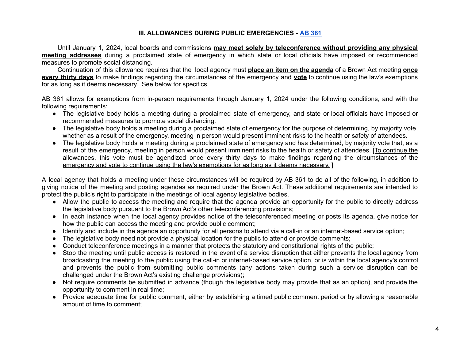#### **III. ALLOWANCES DURING PUBLIC EMERGENCIES - AB [361](https://leginfo.legislature.ca.gov/faces/billVersionsCompareClient.xhtml?bill_id=202120220AB361)**

Until January 1, 2024, local boards and commissions **may meet solely by teleconference without providing any physical meeting addresses** during a proclaimed state of emergency in which state or local officials have imposed or recommended measures to promote social distancing.

Continuation of this allowance requires that the local agency must **place an item on the agenda** of a Brown Act meeting **once every thirty days** to make findings regarding the circumstances of the emergency and **vote** to continue using the law's exemptions for as long as it deems necessary. See below for specifics.

AB 361 allows for exemptions from in-person requirements through January 1, 2024 under the following conditions, and with the following requirements:

- The legislative body holds a meeting during a proclaimed state of emergency, and state or local officials have imposed or recommended measures to promote social distancing.
- The legislative body holds a meeting during a proclaimed state of emergency for the purpose of determining, by majority vote, whether as a result of the emergency, meeting in person would present imminent risks to the health or safety of attendees.
- The legislative body holds a meeting during a proclaimed state of emergency and has determined, by majority vote that, as a result of the emergency, meeting in person would present imminent risks to the health or safety of attendees. [To continue the allowances, this vote must be agendized once every thirty days to make findings regarding the circumstances of the emergency and vote to continue using the law's exemptions for as long as it deems necessary. ]

A local agency that holds a meeting under these circumstances will be required by AB 361 to do all of the following, in addition to giving notice of the meeting and posting agendas as required under the Brown Act. These additional requirements are intended to protect the public's right to participate in the meetings of local agency legislative bodies.

- Allow the public to access the meeting and require that the agenda provide an opportunity for the public to directly address the legislative body pursuant to the Brown Act's other teleconferencing provisions;
- In each instance when the local agency provides notice of the teleconferenced meeting or posts its agenda, give notice for how the public can access the meeting and provide public comment;
- Identify and include in the agenda an opportunity for all persons to attend via a call-in or an internet-based service option;
- The legislative body need not provide a physical location for the public to attend or provide comments;
- Conduct teleconference meetings in a manner that protects the statutory and constitutional rights of the public;
- Stop the meeting until public access is restored in the event of a service disruption that either prevents the local agency from broadcasting the meeting to the public using the call-in or internet-based service option, or is within the local agency's control and prevents the public from submitting public comments (any actions taken during such a service disruption can be challenged under the Brown Act's existing challenge provisions);
- Not require comments be submitted in advance (though the legislative body may provide that as an option), and provide the opportunity to comment in real time;
- Provide adequate time for public comment, either by establishing a timed public comment period or by allowing a reasonable amount of time to comment;